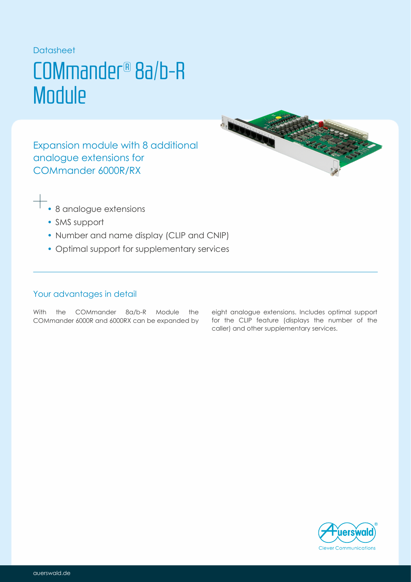### **Datasheet**

## COMmander® 8a/b-R **Module**

Expansion module with 8 additional analogue extensions for COMmander 6000R/RX



- 8 analogue extensions
- SMS support
- Number and name display (CLIP and CNIP)
- Optimal support for supplementary services

## Your advantages in detail

With the COMmander 8a/b-R Module the COMmander 6000R and 6000RX can be expanded by

eight analogue extensions. Includes optimal support for the CLIP feature (displays the number of the caller) and other supplementary services.